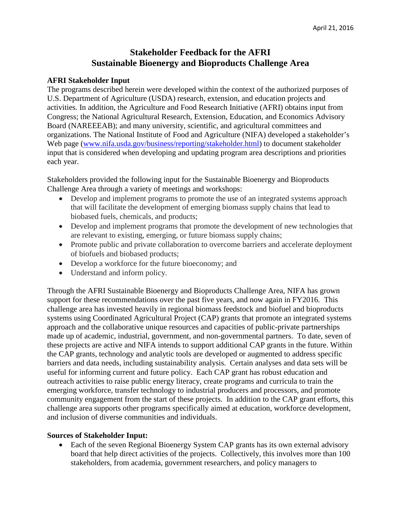## **Stakeholder Feedback for the AFRI Sustainable Bioenergy and Bioproducts Challenge Area**

## **AFRI Stakeholder Input**

The programs described herein were developed within the context of the authorized purposes of U.S. Department of Agriculture (USDA) research, extension, and education projects and activities. In addition, the Agriculture and Food Research Initiative (AFRI) obtains input from Congress; the National Agricultural Research, Extension, Education, and Economics Advisory Board (NAREEEAB); and many university, scientific, and agricultural committees and organizations. The National Institute of Food and Agriculture (NIFA) developed a stakeholder's Web page [\(www.nifa.usda.gov/business/reporting/stakeholder.html\)](http://www.nifa.usda.gov/business/reporting/stakeholder.html) to document stakeholder input that is considered when developing and updating program area descriptions and priorities each year.

Stakeholders provided the following input for the Sustainable Bioenergy and Bioproducts Challenge Area through a variety of meetings and workshops:

- Develop and implement programs to promote the use of an integrated systems approach that will facilitate the development of emerging biomass supply chains that lead to biobased fuels, chemicals, and products;
- Develop and implement programs that promote the development of new technologies that are relevant to existing, emerging, or future biomass supply chains;
- Promote public and private collaboration to overcome barriers and accelerate deployment of biofuels and biobased products;
- Develop a workforce for the future bioeconomy; and
- Understand and inform policy.

Through the AFRI Sustainable Bioenergy and Bioproducts Challenge Area, NIFA has grown support for these recommendations over the past five years, and now again in FY2016. This challenge area has invested heavily in regional biomass feedstock and biofuel and bioproducts systems using Coordinated Agricultural Project (CAP) grants that promote an integrated systems approach and the collaborative unique resources and capacities of public-private partnerships made up of academic, industrial, government, and non-governmental partners. To date, seven of these projects are active and NIFA intends to support additional CAP grants in the future. Within the CAP grants, technology and analytic tools are developed or augmented to address specific barriers and data needs, including sustainability analysis. Certain analyses and data sets will be useful for informing current and future policy. Each CAP grant has robust education and outreach activities to raise public energy literacy, create programs and curricula to train the emerging workforce, transfer technology to industrial producers and processors, and promote community engagement from the start of these projects. In addition to the CAP grant efforts, this challenge area supports other programs specifically aimed at education, workforce development, and inclusion of diverse communities and individuals.

## **Sources of Stakeholder Input:**

• Each of the seven Regional Bioenergy System CAP grants has its own external advisory board that help direct activities of the projects. Collectively, this involves more than 100 stakeholders, from academia, government researchers, and policy managers to